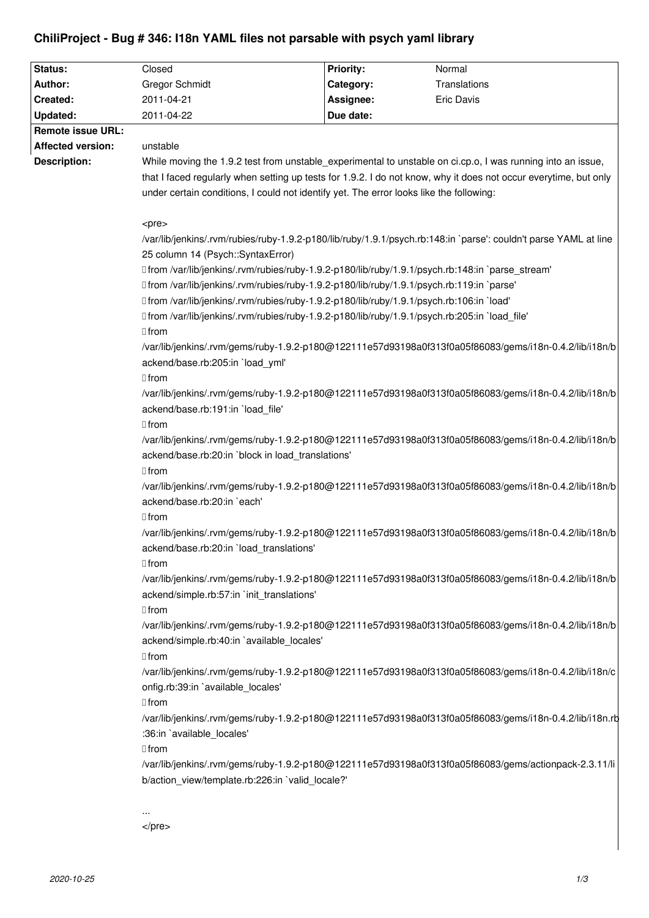# **ChiliProject - Bug # 346: I18n YAML files not parsable with psych yaml library**

| Status:                  | Closed                                                                                                                                                                                                                          | <b>Priority:</b> | Normal                                                                                                  |
|--------------------------|---------------------------------------------------------------------------------------------------------------------------------------------------------------------------------------------------------------------------------|------------------|---------------------------------------------------------------------------------------------------------|
| Author:                  | <b>Gregor Schmidt</b>                                                                                                                                                                                                           | Category:        | Translations                                                                                            |
| Created:                 | 2011-04-21                                                                                                                                                                                                                      | Assignee:        | <b>Eric Davis</b>                                                                                       |
| Updated:                 | 2011-04-22                                                                                                                                                                                                                      | Due date:        |                                                                                                         |
| <b>Remote issue URL:</b> |                                                                                                                                                                                                                                 |                  |                                                                                                         |
| <b>Affected version:</b> | unstable                                                                                                                                                                                                                        |                  |                                                                                                         |
| <b>Description:</b>      |                                                                                                                                                                                                                                 |                  |                                                                                                         |
|                          | While moving the 1.9.2 test from unstable experimental to unstable on ci.cp.o, I was running into an issue,<br>that I faced regularly when setting up tests for 1.9.2. I do not know, why it does not occur everytime, but only |                  |                                                                                                         |
|                          | under certain conditions, I could not identify yet. The error looks like the following:                                                                                                                                         |                  |                                                                                                         |
|                          |                                                                                                                                                                                                                                 |                  |                                                                                                         |
|                          | <pre></pre>                                                                                                                                                                                                                     |                  |                                                                                                         |
|                          | /var/lib/jenkins/.rvm/rubies/ruby-1.9.2-p180/lib/ruby/1.9.1/psych.rb:148:in `parse': couldn't parse YAML at line                                                                                                                |                  |                                                                                                         |
|                          | 25 column 14 (Psych::SyntaxError)                                                                                                                                                                                               |                  |                                                                                                         |
|                          | □ from /var/lib/jenkins/.rvm/rubies/ruby-1.9.2-p180/lib/ruby/1.9.1/psych.rb:148:in `parse_stream'                                                                                                                               |                  |                                                                                                         |
|                          | □ from /var/lib/jenkins/.rvm/rubies/ruby-1.9.2-p180/lib/ruby/1.9.1/psych.rb:119:in `parse'                                                                                                                                      |                  |                                                                                                         |
|                          | □ from /var/lib/jenkins/.rvm/rubies/ruby-1.9.2-p180/lib/ruby/1.9.1/psych.rb:106:in `load'                                                                                                                                       |                  |                                                                                                         |
|                          | □ from /var/lib/jenkins/.rvm/rubies/ruby-1.9.2-p180/lib/ruby/1.9.1/psych.rb:205:in `load file'                                                                                                                                  |                  |                                                                                                         |
|                          | $\Box$ from                                                                                                                                                                                                                     |                  |                                                                                                         |
|                          | /var/lib/jenkins/.rvm/gems/ruby-1.9.2-p180@122111e57d93198a0f313f0a05f86083/gems/i18n-0.4.2/lib/i18n/b                                                                                                                          |                  |                                                                                                         |
|                          | ackend/base.rb:205:in `load yml'                                                                                                                                                                                                |                  |                                                                                                         |
|                          | $\Box$ from                                                                                                                                                                                                                     |                  |                                                                                                         |
|                          | /var/lib/jenkins/.rvm/gems/ruby-1.9.2-p180@122111e57d93198a0f313f0a05f86083/gems/i18n-0.4.2/lib/i18n/b                                                                                                                          |                  |                                                                                                         |
|                          | ackend/base.rb:191:in `load_file'                                                                                                                                                                                               |                  |                                                                                                         |
|                          | $\Box$ from                                                                                                                                                                                                                     |                  |                                                                                                         |
|                          | /var/lib/jenkins/.rvm/gems/ruby-1.9.2-p180@122111e57d93198a0f313f0a05f86083/gems/i18n-0.4.2/lib/i18n/b                                                                                                                          |                  |                                                                                                         |
|                          | ackend/base.rb:20:in `block in load_translations'                                                                                                                                                                               |                  |                                                                                                         |
|                          | $\Box$ from                                                                                                                                                                                                                     |                  |                                                                                                         |
|                          | /var/lib/jenkins/.rvm/gems/ruby-1.9.2-p180@122111e57d93198a0f313f0a05f86083/gems/i18n-0.4.2/lib/i18n/b                                                                                                                          |                  |                                                                                                         |
|                          | ackend/base.rb:20:in `each'                                                                                                                                                                                                     |                  |                                                                                                         |
|                          | $\Box$ from                                                                                                                                                                                                                     |                  |                                                                                                         |
|                          |                                                                                                                                                                                                                                 |                  | /var/lib/jenkins/.rvm/gems/ruby-1.9.2-p180@122111e57d93198a0f313f0a05f86083/gems/i18n-0.4.2/lib/i18n/b  |
|                          | ackend/base.rb:20:in `load_translations'                                                                                                                                                                                        |                  |                                                                                                         |
|                          | $\Box$ from                                                                                                                                                                                                                     |                  |                                                                                                         |
|                          |                                                                                                                                                                                                                                 |                  | /var/lib/jenkins/.rvm/gems/ruby-1.9.2-p180@122111e57d93198a0f313f0a05f86083/gems/i18n-0.4.2/lib/i18n/b  |
|                          | ackend/simple.rb:57:in `init_translations'                                                                                                                                                                                      |                  |                                                                                                         |
|                          | $\Box$ from                                                                                                                                                                                                                     |                  |                                                                                                         |
|                          |                                                                                                                                                                                                                                 |                  | /var/lib/jenkins/.rvm/gems/ruby-1.9.2-p180@122111e57d93198a0f313f0a05f86083/gems/i18n-0.4.2/lib/i18n/b  |
|                          | ackend/simple.rb:40:in `available locales'                                                                                                                                                                                      |                  |                                                                                                         |
|                          | $\Box$ from                                                                                                                                                                                                                     |                  |                                                                                                         |
|                          |                                                                                                                                                                                                                                 |                  | /var/lib/jenkins/.rvm/gems/ruby-1.9.2-p180@122111e57d93198a0f313f0a05f86083/gems/i18n-0.4.2/lib/i18n/c  |
|                          | onfig.rb:39:in `available_locales'                                                                                                                                                                                              |                  |                                                                                                         |
|                          | $\Box$ from                                                                                                                                                                                                                     |                  |                                                                                                         |
|                          |                                                                                                                                                                                                                                 |                  | /var/lib/jenkins/.rvm/gems/ruby-1.9.2-p180@122111e57d93198a0f313f0a05f86083/gems/i18n-0.4.2/lib/i18n.rb |
|                          | :36:in `available_locales'                                                                                                                                                                                                      |                  |                                                                                                         |
|                          | $\Box$ from                                                                                                                                                                                                                     |                  |                                                                                                         |
|                          |                                                                                                                                                                                                                                 |                  | /var/lib/jenkins/.rvm/gems/ruby-1.9.2-p180@122111e57d93198a0f313f0a05f86083/gems/actionpack-2.3.11/li   |
|                          | b/action_view/template.rb:226:in `valid_locale?'                                                                                                                                                                                |                  |                                                                                                         |
|                          |                                                                                                                                                                                                                                 |                  |                                                                                                         |
|                          |                                                                                                                                                                                                                                 |                  |                                                                                                         |
|                          | $<$ /pre $>$                                                                                                                                                                                                                    |                  |                                                                                                         |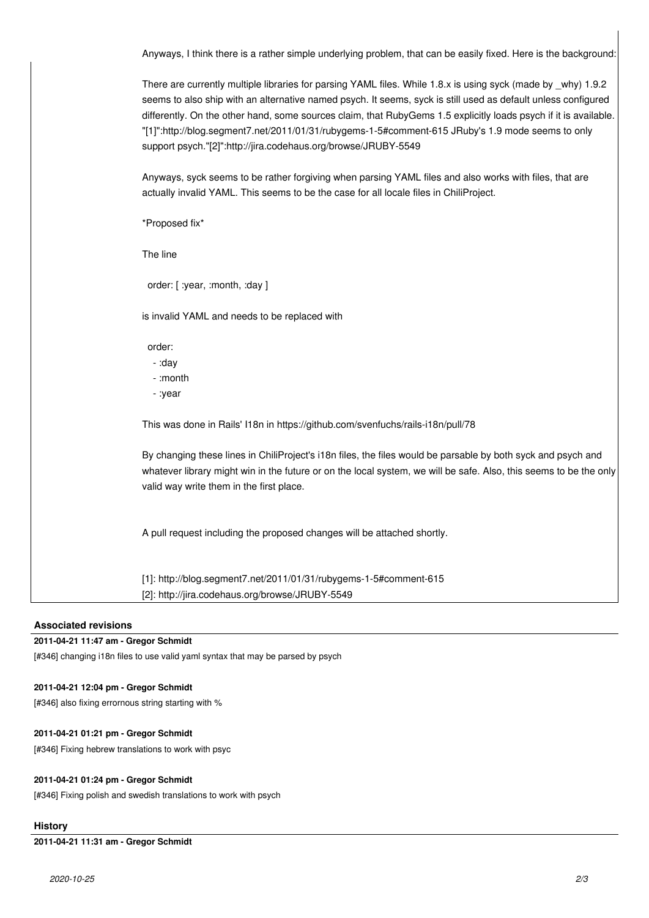Anyways, I think there is a rather simple underlying problem, that can be easily fixed. Here is the background:

There are currently multiple libraries for parsing YAML files. While 1.8.x is using syck (made by \_why) 1.9.2 seems to also ship with an alternative named psych. It seems, syck is still used as default unless configured differently. On the other hand, some sources claim, that RubyGems 1.5 explicitly loads psych if it is available. "[1]":http://blog.segment7.net/2011/01/31/rubygems-1-5#comment-615 JRuby's 1.9 mode seems to only support psych."[2]":http://jira.codehaus.org/browse/JRUBY-5549

Anyways, syck seems to be rather forgiving when parsing YAML files and also works with files, that are actually invalid YAML. This seems to be the case for all locale files in ChiliProject.

\*Proposed fix\*

The line

order: [ :year, :month, :day ]

is invalid YAML and needs to be replaced with

order:

- :day
- :month
- :year

This was done in Rails' I18n in https://github.com/svenfuchs/rails-i18n/pull/78

By changing these lines in ChiliProject's i18n files, the files would be parsable by both syck and psych and whatever library might win in the future or on the local system, we will be safe. Also, this seems to be the only valid way write them in the first place.

A pull request including the proposed changes will be attached shortly.

[1]: http://blog.segment7.net/2011/01/31/rubygems-1-5#comment-615 [2]: http://jira.codehaus.org/browse/JRUBY-5549

# **Associated revisions**

## **2011-04-21 11:47 am - Gregor Schmidt**

[#346] changing i18n files to use valid yaml syntax that may be parsed by psych

## **2011-04-21 12:04 pm - Gregor Schmidt**

[#346] also fixing errornous string starting with %

#### **2011-04-21 01:21 pm - Gregor Schmidt**

[#346] Fixing hebrew translations to work with psyc

## **2011-04-21 01:24 pm - Gregor Schmidt**

[#346] Fixing polish and swedish translations to work with psych

# **History**

**2011-04-21 11:31 am - Gregor Schmidt**